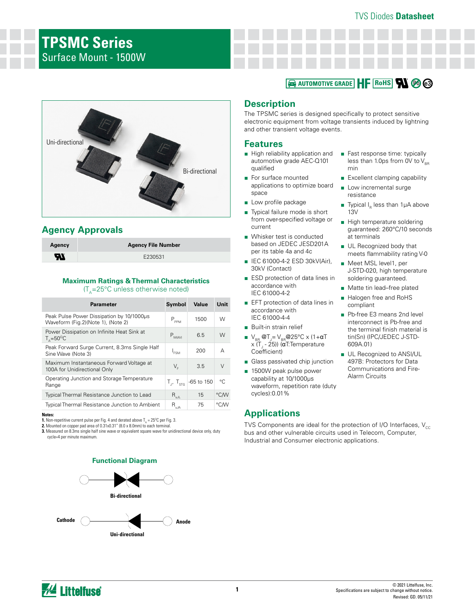# **TPSMC Series** Surface Mount - 1500W

## **Rohs** Automotive Grade HF Rohs W 20 @



## **Agency Approvals**

| Agency                     | <b>Agency File Number</b> |
|----------------------------|---------------------------|
| $\boldsymbol{\mathcal{H}}$ | E230531                   |

# **Maximum Ratings & Thermal Characteristics**

 $(T_A=25^{\circ}C$  unless otherwise noted)

| Parameter                                                                       | Symbol           | Value                                  | Unit         |
|---------------------------------------------------------------------------------|------------------|----------------------------------------|--------------|
| Peak Pulse Power Dissipation by 10/1000us<br>Waveform (Fig.2)(Note 1), (Note 2) | $P_{PPM}$        | 1500                                   | W            |
| Power Dissipation on Infinite Heat Sink at<br>$T_{0} = 50^{\circ}$ C            | $P_{M(AV)}$      | 6.5                                    | W            |
| Peak Forward Surge Current, 8.3ms Single Half<br>Sine Wave (Note 3)             | $I_{FSM}$        | 200                                    | А            |
| Maximum Instantaneous Forward Voltage at<br>100A for Unidirectional Only        | V,               | 3.5                                    | $\vee$       |
| Operating Junction and Storage Temperature<br>Range                             |                  | $T_{\rm J}$ , $T_{\rm sfg}$ -65 to 150 | $^{\circ}$ C |
| Typical Thermal Resistance Junction to Lead                                     | $R_{_{\rm LII}}$ | 15                                     | °C/W         |
| <b>Typical Thermal Resistance Junction to Ambient</b>                           | $R_{\rm uJA}$    | 75                                     | °C∕W         |

**Notes:**

**1.** Non-repetitive current pulse per Fig. 4 and derated above  $T_{_{\rm A}}$  = 25ºC per Fig. 3. **2.** Mounted on copper pad area of 0.31x0.31" (8.0 x 8.0mm) to each terminal.

**3.** Measured on 8.3ms single half sine wave or equivalent square wave for unidirectional device only, duty cycle=4 per minute maximum.





## **Description**

The TPSMC series is designed specifically to protect sensitive electronic equipment from voltage transients induced by lightning and other transient voltage events.

### **Features**

- High reliability application and automotive grade AEC-Q101 qualified
- For surface mounted applications to optimize board space
- Low profile package
- Typical failure mode is short from over-specified voltage or current
- Whisker test is conducted based on JEDEC JESD201A per its table 4a and 4c
- IEC 61000-4-2 ESD 30kV(Air), 30kV (Contact)
- ESD protection of data lines in accordance with IEC 61000-4-2
- EFT protection of data lines in accordance with IEC 61000-4-4
- Built-in strain relief
- $V_{\text{\tiny BR}}$  @T<sub>J</sub>= V<sub>BR</sub>@25°C x (1+αT x (T<sub>J</sub> - 25)) (**α**T:Temperature Coefficient)
- Glass passivated chip junction
- 1500W peak pulse power capability at 10/1000μs waveform, repetition rate (duty cycles):0.01%

## **Applications**

- Fast response time: typically less than 1.0ps from 0V to  $V_{\text{p}}$ min
- Excellent clamping capability
- Low incremental surge resistance
- **Typical I<sub>R</sub>** less than 1µA above 13V
- High temperature soldering guaranteed: 260°C/10 seconds at terminals
- UL Recognized body that meets flammability rating V-0
- Meet MSL level1, per J-STD-020, high temperature soldering guaranteed.
- Matte tin lead–free plated
- Halogen free and RoHS compliant
- Pb-free E3 means 2nd level interconnect is Pb-free and the terminal finish material is tin(Sn) (IPC/JEDEC J-STD-609A.01)
- UL Recognized to ANSI/UL 497B: Protectors for Data Communications and Fire-Alarm Circuits

TVS Components are ideal for the protection of I/O Interfaces,  $V_{cc}$ bus and other vulnerable circuits used in Telecom, Computer, Industrial and Consumer electronic applications.

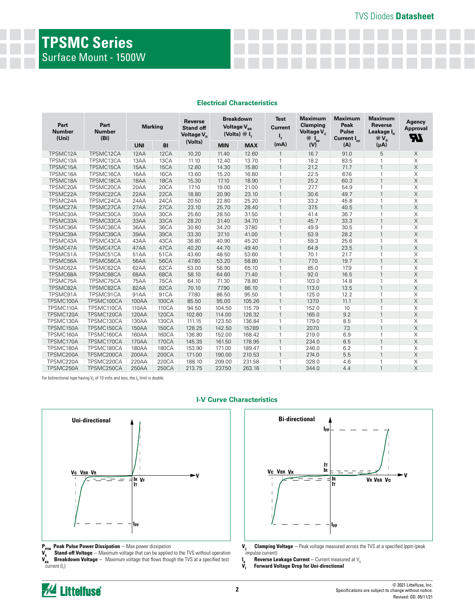|  | <b>Electrical Characteristics</b> |
|--|-----------------------------------|
|--|-----------------------------------|

| Part<br><b>Number</b><br>(Uni) | Part<br><b>Number</b><br>(Bi) | <b>Marking</b> |             | <b>Reverse</b><br><b>Stand off</b><br>Voltage V <sub>p</sub> | <b>Breakdown</b><br>Voltage V <sub>BR</sub><br>(Volts) $@I_{\tau}$ |            | <b>Test</b><br><b>Current</b><br>4 | <b>Maximum</b><br>Clamping<br>Voltage V <sub>c</sub><br>$@I_{\text{pp}}$ | <b>Maximum</b><br>Peak<br><b>Pulse</b><br>Current I <sub>pp</sub> | <b>Maximum</b><br>Reverse<br>Leakage I <sub>p</sub><br>$@V_{R}$ | Agency<br>Approval<br><b>77</b> |
|--------------------------------|-------------------------------|----------------|-------------|--------------------------------------------------------------|--------------------------------------------------------------------|------------|------------------------------------|--------------------------------------------------------------------------|-------------------------------------------------------------------|-----------------------------------------------------------------|---------------------------------|
|                                |                               | <b>UNI</b>     | B1          | (Volts)                                                      | <b>MIN</b>                                                         | <b>MAX</b> | (mA)                               | (V)                                                                      | (A)                                                               | (μA)                                                            |                                 |
| TPSMC12A                       | TPSMC12CA                     | 12AA           | 12CA        | 10.20                                                        | 11.40                                                              | 12.60      | $\mathbf{1}$                       | 16.7                                                                     | 91.0                                                              | 5                                                               | X                               |
| TPSMC13A                       | TPSMC13CA                     | 13AA           | 13CA        | 11.10                                                        | 12.40                                                              | 13.70      | $\overline{1}$                     | 18.2                                                                     | 83.5                                                              | $\mathbf{1}$                                                    | X                               |
| TPSMC15A                       | TPSMC15CA                     | 15AA           | 15CA        | 12.80                                                        | 14.30                                                              | 15.80      | $\mathbf{1}$                       | 21.2                                                                     | 71.7                                                              | $\mathbf{1}$                                                    | $\mathsf X$                     |
| TPSMC16A                       | TPSMC16CA                     | 16AA           | 16CA        | 13.60                                                        | 15.20                                                              | 16.80      | $\mathbf{1}$                       | 22.5                                                                     | 67.6                                                              | $\mathbf{1}$                                                    | X                               |
| TPSMC18A                       | TPSMC18CA                     | 18AA           | 18CA        | 15.30                                                        | 17.10                                                              | 18.90      | $\mathbf{1}$                       | 25.2                                                                     | 60.3                                                              | $\mathbf{1}$                                                    | X                               |
| TPSMC20A                       | TPSMC20CA                     | 20AA           | 20CA        | 17.10                                                        | 19.00                                                              | 21.00      | $\mathbf{1}$                       | 27.7                                                                     | 54.9                                                              | $\mathbf{1}$                                                    | X                               |
| TPSMC22A                       | TPSMC22CA                     | 22AA           | 22CA        | 18.80                                                        | 20.90                                                              | 23.10      | $\mathbf{1}$                       | 30.6                                                                     | 49.7                                                              | $\mathbf{1}$                                                    | X                               |
| TPSMC24A                       | TPSMC24CA                     | 24AA           | 24CA        | 20.50                                                        | 22.80                                                              | 25.20      | $\mathbf{1}$                       | 33.2                                                                     | 45.8                                                              | $\mathbf{1}$                                                    | X                               |
| TPSMC27A                       | TPSMC27CA                     | 27AA           | 27CA        | 23.10                                                        | 25.70                                                              | 28.40      | $\mathbf{1}$                       | 37.5                                                                     | 40.5                                                              | $\mathbf{1}$                                                    | $\mathsf X$                     |
| TPSMC30A                       | TPSMC30CA                     | 30AA           | 30CA        | 25.60                                                        | 28.50                                                              | 31.50      | $\overline{1}$                     | 41.4                                                                     | 36.7                                                              | $\mathbf{1}$                                                    | Χ                               |
| TPSMC33A                       | TPSMC33CA                     | 33AA           | 33CA        | 28.20                                                        | 31.40                                                              | 34.70      | $\overline{1}$                     | 45.7                                                                     | 33.3                                                              | $\mathbf{1}$                                                    | $\mathsf X$                     |
| TPSMC36A                       | TPSMC36CA                     | 36AA           | 36CA        | 30.80                                                        | 34.20                                                              | 37.80      | $\mathbf{1}$                       | 49.9                                                                     | 30.5                                                              | $\mathbf{1}$                                                    | X                               |
| TPSMC39A                       | TPSMC39CA                     | 39AA           | 39CA        | 33.30                                                        | 37.10                                                              | 41.00      | $\mathbf{1}$                       | 53.9                                                                     | 28.2                                                              | $\mathbf{1}$                                                    | $\mathsf X$                     |
| TPSMC43A                       | TPSMC43CA                     | 43AA           | 43CA        | 36.80                                                        | 40.90                                                              | 45.20      | $\mathbf{1}$                       | 59.3                                                                     | 25.6                                                              | $\mathbf{1}$                                                    | X                               |
| TPSMC47A                       | TPSMC47CA                     | 47AA           | 47CA        | 40.20                                                        | 44.70                                                              | 49.40      | $\overline{1}$                     | 64.8                                                                     | 23.5                                                              | $\mathbf{1}$                                                    | X                               |
| TPSMC51A                       | TPSMC51CA                     | 51AA           | 51CA        | 43.60                                                        | 48.50                                                              | 53.60      | $\mathbf{1}$                       | 70.1                                                                     | 21.7                                                              | $\mathbf{1}$                                                    | Χ                               |
| TPSMC56A                       | TPSMC56CA                     | 56AA           | 56CA        | 47.80                                                        | 53.20                                                              | 58.80      | $\mathbf{1}$                       | 77.0                                                                     | 19.7                                                              | $\mathbf{1}$                                                    | X                               |
| TPSMC62A                       | TPSMC62CA                     | 62AA           | 62CA        | 53.00                                                        | 58.90                                                              | 65.10      | $\mathbf{1}$                       | 85.0                                                                     | 17.9                                                              | $\overline{1}$                                                  | Χ                               |
| TPSMC68A                       | TPSMC68CA                     | 68AA           | 68CA        | 58.10                                                        | 64.60                                                              | 71.40      | $\mathbf{1}$                       | 92.0                                                                     | 16.5                                                              | $\mathbf{1}$                                                    | $\mathsf X$                     |
| TPSMC75A                       | TPSMC75CA                     | 75AA           | <b>75CA</b> | 64.10                                                        | 71.30                                                              | 78.80      | $\mathbf{1}$                       | 103.0                                                                    | 14.8                                                              | $\mathbf{1}$                                                    | X                               |
| TPSMC82A                       | TPSMC82CA                     | 82AA           | 82CA        | 70.10                                                        | 77.90                                                              | 86.10      | $\mathbf{1}$                       | 113.0                                                                    | 13.5                                                              | $\mathbf{1}$                                                    | X                               |
| TPSMC91A                       | TPSMC91CA                     | 91AA           | 91CA        | 77.80                                                        | 86.50                                                              | 95.50      | $\mathbf{1}$                       | 125.0                                                                    | 12.2                                                              | $\mathbf{1}$                                                    | X                               |
| TPSMC100A                      | TPSMC100CA                    | 100AA          | 100CA       | 85.50                                                        | 95.00                                                              | 105.26     | $\mathbf{1}$                       | 137.0                                                                    | 11.1                                                              | $\mathbf{1}$                                                    | X                               |
| TPSMC110A                      | TPSMC110CA                    | 110AA          | 110CA       | 94.50                                                        | 104.50                                                             | 115.79     | $\mathbf{1}$                       | 152.0                                                                    | 10                                                                | $\mathbf{1}$                                                    | Χ                               |
| TPSMC120A                      | TPSMC120CA                    | 120AA          | 120CA       | 102.60                                                       | 114.00                                                             | 126.32     | $\mathbf{1}$                       | 165.0                                                                    | 9.2                                                               | $\mathbf{1}$                                                    | $\mathsf{X}$                    |
| TPSMC130A                      | TPSMC130CA                    | 130AA          | 130CA       | 111.15                                                       | 123.50                                                             | 136.84     | -1                                 | 179.0                                                                    | 8.5                                                               | $\mathbf{1}$                                                    | X                               |
| TPSMC150A                      | TPSMC150CA                    | 150AA          | 150CA       | 128.25                                                       | 142.50                                                             | 157.89     | $\mathbf{1}$                       | 207.0                                                                    | 7.3                                                               | $\mathbf{1}$                                                    | $\mathsf X$                     |
| TPSMC160A                      | TPSMC160CA                    | 160AA          | 160CA       | 136.80                                                       | 152.00                                                             | 168.42     | $\mathbf{1}$                       | 219.0                                                                    | 6.9                                                               | $\mathbf{1}$                                                    | X                               |
| TPSMC170A                      | TPSMC170CA                    | 170AA          | 170CA       | 145.35                                                       | 161.50                                                             | 178.95     | $\mathbf{1}$                       | 234.0                                                                    | 6.5                                                               | $\mathbf{1}$                                                    | X                               |
| TPSMC180A                      | TPSMC180CA                    | 180AA          | 180CA       | 153.90                                                       | 171.00                                                             | 189.47     | $\mathbf{1}$                       | 246.0                                                                    | 6.2                                                               | 1                                                               | Χ                               |
| TPSMC200A                      | TPSMC200CA                    | 200AA          | 200CA       | 171.00                                                       | 190.00                                                             | 210.53     | $\mathbf{1}$                       | 274.0                                                                    | 5.5                                                               | $\mathbf{1}$                                                    | Χ                               |
| TPSMC220A                      | TPSMC220CA                    | 220AA          | 220CA       | 188.10                                                       | 209.00                                                             | 231.58     | $\mathbf{1}$                       | 328.0                                                                    | 4.6                                                               | $\mathbf{1}$                                                    | Χ                               |
| TPSMC250A                      | TPSMC250CA                    | 250AA          | 250CA       | 213.75                                                       | 237.50                                                             | 263.16     | $\mathbf{1}$                       | 344.0                                                                    | 4.4                                                               | $\mathbf{1}$                                                    | X                               |

For bidirectional type having V<sub>R</sub> of 10 volts and less, the I<sub>R</sub> limit is double.



**I-V Curve Characteristics**

**Stand-off Voltage** -- Maximum voltage that can be applied to the TVS without operation **Breakdown Voltage** -- Maximum voltage that flows though the TVS at a specified test current (I<sub>T</sub>)



- **Clamping Voltage** -- Peak voltage measured across the TVS at a specified Ippm (peak  $V_c$  Clamping V<br>impulse current)
- $\overset{\text{I}}{\mathbf{V}}_{\text{F}}$ **Reverse Leakage Current** -- Current measured at V<sub>R</sub>

**VF Forward Voltage Drop for Uni-directional**



**P<sub>PPM</sub> Peak Pulse Power Dissipation** -- Max power dissipation<br>V<sub>n</sub> Stand-off Voltage -- Maximum voltage that can be applied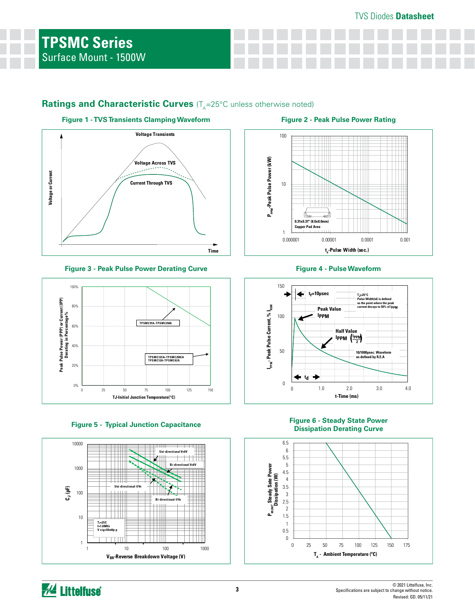## Ratings and Characteristic Curves (T<sub>A</sub>=25°C unless otherwise noted)



### **Figure 3 - Peak Pulse Power Derating Curve Figure 4 - Pulse Waveform**









### **Figure 5 - Typical Junction Capacitance Figure 6 - Steady State Power Dissipation Derating Curve**



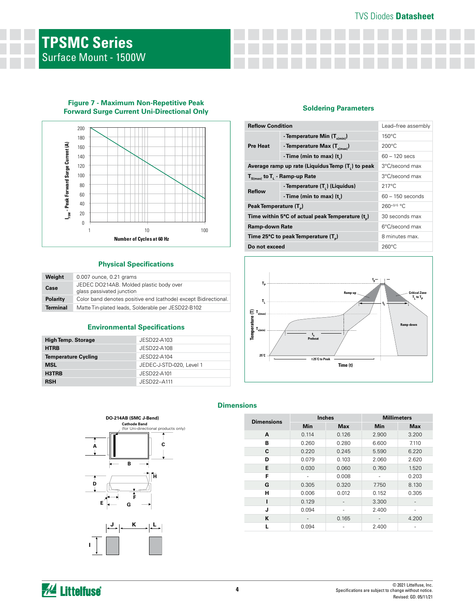## TVS Diodes **Datasheet**



**Figure 7 - Maximum Non-Repetitive Peak** 

### **Physical Specifications**

| Weight          | 0.007 ounce, 0.21 grams                                              |
|-----------------|----------------------------------------------------------------------|
| Case            | JEDEC DO214AB. Molded plastic body over<br>glass passivated junction |
| <b>Polarity</b> | Color band denotes positive end (cathode) except Bidirectional.      |
| <b>Terminal</b> | Matte Tin-plated leads, Solderable per JESD22-B102                   |

### **Environmental Specifications**

| <b>High Temp. Storage</b>  | JESD22-A103              |
|----------------------------|--------------------------|
| <b>HTRB</b>                | JESD22-A108              |
| <b>Temperature Cycling</b> | JESD22-A104              |
| <b>MSL</b>                 | JEDEC-J-STD-020, Level 1 |
| H3TRB                      | JESD22-A101              |
| <b>RSH</b>                 | JESD22-A111              |

## **Figure 7 - Maximum Non-Repetitive Feat**<br>Forward Surge Current Uni-Directional Only **Soldering Parameters**

| <b>Reflow Condition</b>                          | Lead-free assembly                             |                    |  |
|--------------------------------------------------|------------------------------------------------|--------------------|--|
|                                                  | - Temperature Min $(T_{s(min)})$               | $150^{\circ}$ C    |  |
| <b>Pre Heat</b>                                  | - Temperature Max $(T_{\text{sum}})$           | $200^{\circ}$ C    |  |
|                                                  | - Time (min to max) $(t_*)$                    | $60 - 120$ secs    |  |
| Average ramp up rate (Liquidus Temp (T,) to peak | 3°C/second max                                 |                    |  |
| $T_{\text{S(max)}}$ to $T_{L}$ - Ramp-up Rate    | 3°C/second max                                 |                    |  |
| <b>Reflow</b>                                    | - Temperature (T <sub>1</sub> ) (Liquidus)     | $217^{\circ}$ C    |  |
|                                                  | -Time (min to max) $(t_*)$                     | $60 - 150$ seconds |  |
| Peak Temperature (T <sub>p</sub> )               | $260^{+0/5}$ °C                                |                    |  |
|                                                  | Time within 5°C of actual peak Temperature (t) | 30 seconds max     |  |
| <b>Ramp-down Rate</b>                            | 6°C/second max                                 |                    |  |
| Time 25°C to peak Temperature (T <sub>a</sub> )  | 8 minutes max.                                 |                    |  |
| Do not exceed                                    | $260^{\circ}$ C                                |                    |  |



## **DO-214AB (SMC J-Bend) Cathode Band**<br>(for Uni-direction (al products only) 1 **C A B H D F E G**  $K = \prod_{i=1}^{n} L_i$ **I**

## **Dimensions**

| <b>Dimensions</b> |            | <b>Inches</b> | <b>Millimeters</b> |            |  |
|-------------------|------------|---------------|--------------------|------------|--|
|                   | <b>Min</b> | <b>Max</b>    | <b>Min</b>         | <b>Max</b> |  |
| A                 | 0.114      | 0.126         | 2.900              | 3.200      |  |
| В                 | 0.260      | 0.280         | 6.600              | 7.110      |  |
| C                 | 0.220      | 0.245         | 5.590              | 6.220      |  |
| D                 | 0.079      | 0.103         | 2.060              | 2.620      |  |
| E                 | 0.030      | 0.060         | 0.760              | 1.520      |  |
| F                 |            | 0.008         |                    | 0.203      |  |
| G                 | 0.305      | 0.320         | 7.750              | 8.130      |  |
| н                 | 0.006      | 0.012         | 0.152              | 0.305      |  |
| ı                 | 0.129      |               | 3.300              |            |  |
| J                 | 0.094      |               | 2.400              | ۰          |  |
| К                 |            | 0.165         |                    | 4.200      |  |
|                   | 0.094      |               | 2.400              |            |  |